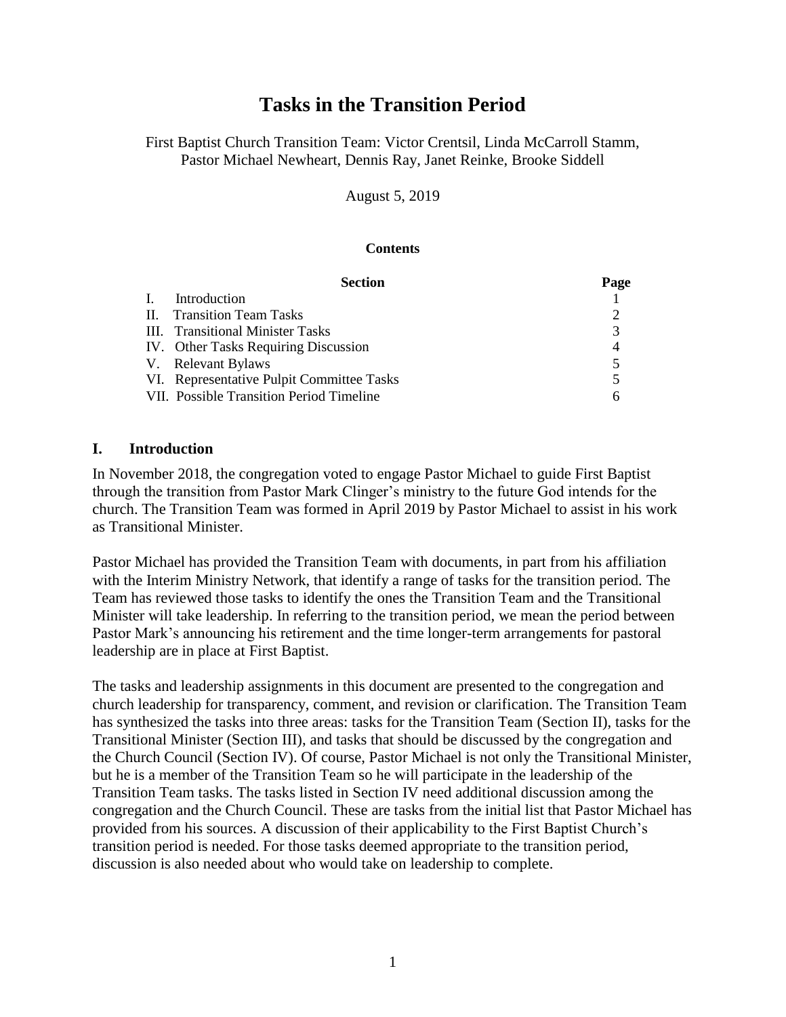# **Tasks in the Transition Period**

First Baptist Church Transition Team: Victor Crentsil, Linda McCarroll Stamm, Pastor Michael Newheart, Dennis Ray, Janet Reinke, Brooke Siddell

August 5, 2019

#### **Contents**

|    | <b>Section</b>                                  | Page                     |
|----|-------------------------------------------------|--------------------------|
| L. | Introduction                                    |                          |
|    | <b>II.</b> Transition Team Tasks                |                          |
|    | III. Transitional Minister Tasks                | 3                        |
|    | IV. Other Tasks Requiring Discussion            |                          |
|    | V. Relevant Bylaws                              | 5                        |
|    | VI. Representative Pulpit Committee Tasks       | $\overline{\mathcal{L}}$ |
|    | <b>VII.</b> Possible Transition Period Timeline | h                        |

#### **I. Introduction**

In November 2018, the congregation voted to engage Pastor Michael to guide First Baptist through the transition from Pastor Mark Clinger's ministry to the future God intends for the church. The Transition Team was formed in April 2019 by Pastor Michael to assist in his work as Transitional Minister.

Pastor Michael has provided the Transition Team with documents, in part from his affiliation with the Interim Ministry Network, that identify a range of tasks for the transition period. The Team has reviewed those tasks to identify the ones the Transition Team and the Transitional Minister will take leadership. In referring to the transition period, we mean the period between Pastor Mark's announcing his retirement and the time longer-term arrangements for pastoral leadership are in place at First Baptist.

The tasks and leadership assignments in this document are presented to the congregation and church leadership for transparency, comment, and revision or clarification. The Transition Team has synthesized the tasks into three areas: tasks for the Transition Team (Section II), tasks for the Transitional Minister (Section III), and tasks that should be discussed by the congregation and the Church Council (Section IV). Of course, Pastor Michael is not only the Transitional Minister, but he is a member of the Transition Team so he will participate in the leadership of the Transition Team tasks. The tasks listed in Section IV need additional discussion among the congregation and the Church Council. These are tasks from the initial list that Pastor Michael has provided from his sources. A discussion of their applicability to the First Baptist Church's transition period is needed. For those tasks deemed appropriate to the transition period, discussion is also needed about who would take on leadership to complete.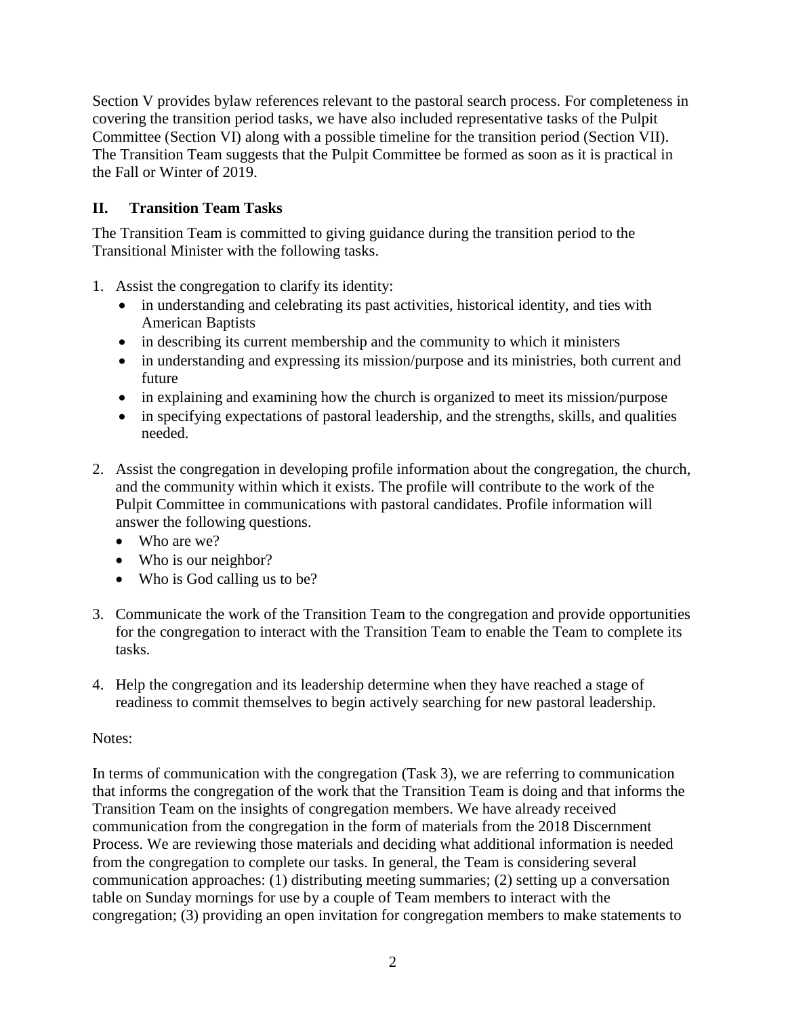Section V provides bylaw references relevant to the pastoral search process. For completeness in covering the transition period tasks, we have also included representative tasks of the Pulpit Committee (Section VI) along with a possible timeline for the transition period (Section VII). The Transition Team suggests that the Pulpit Committee be formed as soon as it is practical in the Fall or Winter of 2019.

# **II. Transition Team Tasks**

The Transition Team is committed to giving guidance during the transition period to the Transitional Minister with the following tasks.

- 1. Assist the congregation to clarify its identity:
	- in understanding and celebrating its past activities, historical identity, and ties with American Baptists
	- in describing its current membership and the community to which it ministers
	- in understanding and expressing its mission/purpose and its ministries, both current and future
	- in explaining and examining how the church is organized to meet its mission/purpose
	- in specifying expectations of pastoral leadership, and the strengths, skills, and qualities needed.
- 2. Assist the congregation in developing profile information about the congregation, the church, and the community within which it exists. The profile will contribute to the work of the Pulpit Committee in communications with pastoral candidates. Profile information will answer the following questions.
	- Who are we?
	- Who is our neighbor?
	- Who is God calling us to be?
- 3. Communicate the work of the Transition Team to the congregation and provide opportunities for the congregation to interact with the Transition Team to enable the Team to complete its tasks.
- 4. Help the congregation and its leadership determine when they have reached a stage of readiness to commit themselves to begin actively searching for new pastoral leadership.

# Notes:

In terms of communication with the congregation (Task 3), we are referring to communication that informs the congregation of the work that the Transition Team is doing and that informs the Transition Team on the insights of congregation members. We have already received communication from the congregation in the form of materials from the 2018 Discernment Process. We are reviewing those materials and deciding what additional information is needed from the congregation to complete our tasks. In general, the Team is considering several communication approaches: (1) distributing meeting summaries; (2) setting up a conversation table on Sunday mornings for use by a couple of Team members to interact with the congregation; (3) providing an open invitation for congregation members to make statements to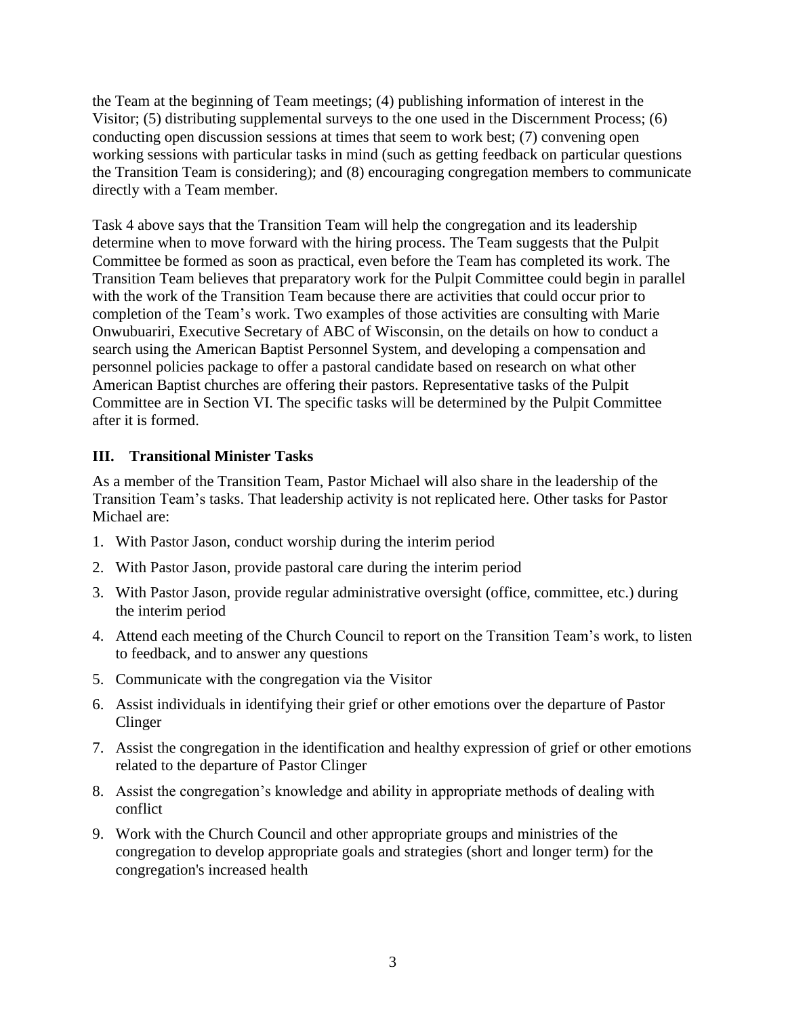the Team at the beginning of Team meetings; (4) publishing information of interest in the Visitor; (5) distributing supplemental surveys to the one used in the Discernment Process; (6) conducting open discussion sessions at times that seem to work best; (7) convening open working sessions with particular tasks in mind (such as getting feedback on particular questions the Transition Team is considering); and (8) encouraging congregation members to communicate directly with a Team member.

Task 4 above says that the Transition Team will help the congregation and its leadership determine when to move forward with the hiring process. The Team suggests that the Pulpit Committee be formed as soon as practical, even before the Team has completed its work. The Transition Team believes that preparatory work for the Pulpit Committee could begin in parallel with the work of the Transition Team because there are activities that could occur prior to completion of the Team's work. Two examples of those activities are consulting with Marie Onwubuariri, Executive Secretary of ABC of Wisconsin, on the details on how to conduct a search using the American Baptist Personnel System, and developing a compensation and personnel policies package to offer a pastoral candidate based on research on what other American Baptist churches are offering their pastors. Representative tasks of the Pulpit Committee are in Section VI. The specific tasks will be determined by the Pulpit Committee after it is formed.

## **III. Transitional Minister Tasks**

As a member of the Transition Team, Pastor Michael will also share in the leadership of the Transition Team's tasks. That leadership activity is not replicated here. Other tasks for Pastor Michael are:

- 1. With Pastor Jason, conduct worship during the interim period
- 2. With Pastor Jason, provide pastoral care during the interim period
- 3. With Pastor Jason, provide regular administrative oversight (office, committee, etc.) during the interim period
- 4. Attend each meeting of the Church Council to report on the Transition Team's work, to listen to feedback, and to answer any questions
- 5. Communicate with the congregation via the Visitor
- 6. Assist individuals in identifying their grief or other emotions over the departure of Pastor **Clinger**
- 7. Assist the congregation in the identification and healthy expression of grief or other emotions related to the departure of Pastor Clinger
- 8. Assist the congregation's knowledge and ability in appropriate methods of dealing with conflict
- 9. Work with the Church Council and other appropriate groups and ministries of the congregation to develop appropriate goals and strategies (short and longer term) for the congregation's increased health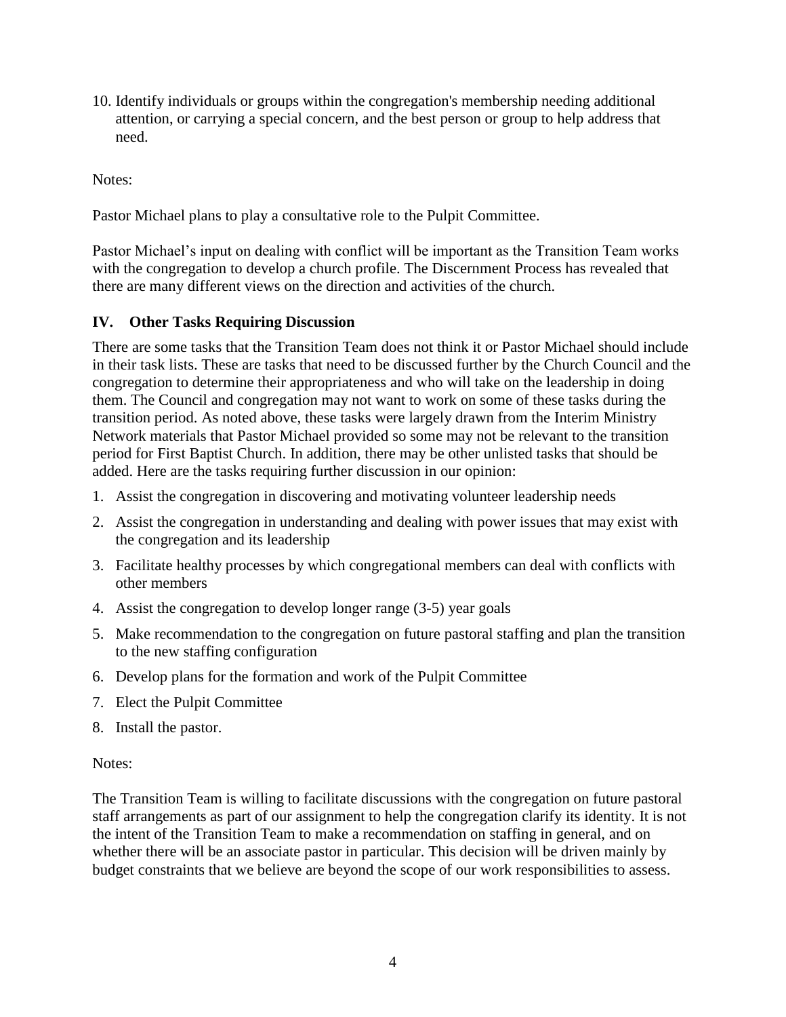10. Identify individuals or groups within the congregation's membership needing additional attention, or carrying a special concern, and the best person or group to help address that need.

Notes:

Pastor Michael plans to play a consultative role to the Pulpit Committee.

Pastor Michael's input on dealing with conflict will be important as the Transition Team works with the congregation to develop a church profile. The Discernment Process has revealed that there are many different views on the direction and activities of the church.

#### **IV. Other Tasks Requiring Discussion**

There are some tasks that the Transition Team does not think it or Pastor Michael should include in their task lists. These are tasks that need to be discussed further by the Church Council and the congregation to determine their appropriateness and who will take on the leadership in doing them. The Council and congregation may not want to work on some of these tasks during the transition period. As noted above, these tasks were largely drawn from the Interim Ministry Network materials that Pastor Michael provided so some may not be relevant to the transition period for First Baptist Church. In addition, there may be other unlisted tasks that should be added. Here are the tasks requiring further discussion in our opinion:

- 1. Assist the congregation in discovering and motivating volunteer leadership needs
- 2. Assist the congregation in understanding and dealing with power issues that may exist with the congregation and its leadership
- 3. Facilitate healthy processes by which congregational members can deal with conflicts with other members
- 4. Assist the congregation to develop longer range (3-5) year goals
- 5. Make recommendation to the congregation on future pastoral staffing and plan the transition to the new staffing configuration
- 6. Develop plans for the formation and work of the Pulpit Committee
- 7. Elect the Pulpit Committee
- 8. Install the pastor.

#### Notes:

The Transition Team is willing to facilitate discussions with the congregation on future pastoral staff arrangements as part of our assignment to help the congregation clarify its identity. It is not the intent of the Transition Team to make a recommendation on staffing in general, and on whether there will be an associate pastor in particular. This decision will be driven mainly by budget constraints that we believe are beyond the scope of our work responsibilities to assess.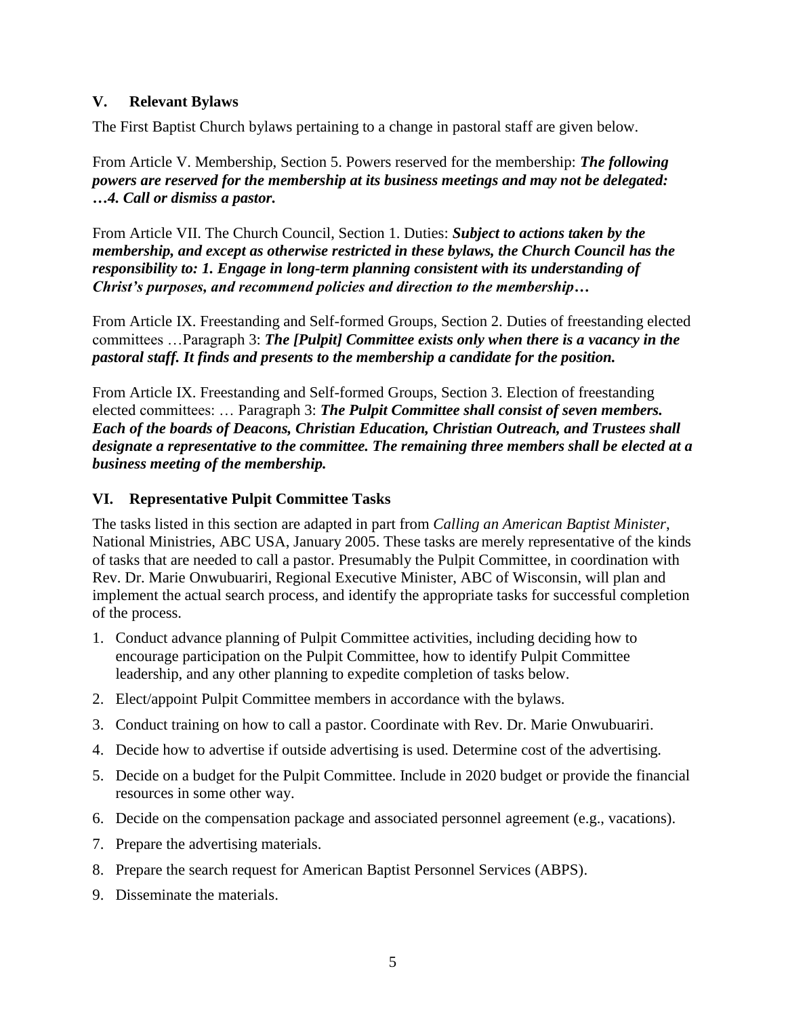#### **V. Relevant Bylaws**

The First Baptist Church bylaws pertaining to a change in pastoral staff are given below.

From Article V. Membership, Section 5. Powers reserved for the membership: *The following powers are reserved for the membership at its business meetings and may not be delegated: …4. Call or dismiss a pastor.*

From Article VII. The Church Council, Section 1. Duties: *Subject to actions taken by the membership, and except as otherwise restricted in these bylaws, the Church Council has the responsibility to: 1. Engage in long-term planning consistent with its understanding of Christ's purposes, and recommend policies and direction to the membership…*

From Article IX. Freestanding and Self-formed Groups, Section 2. Duties of freestanding elected committees …Paragraph 3: *The [Pulpit] Committee exists only when there is a vacancy in the pastoral staff. It finds and presents to the membership a candidate for the position.*

From Article IX. Freestanding and Self-formed Groups, Section 3. Election of freestanding elected committees: … Paragraph 3: *The Pulpit Committee shall consist of seven members. Each of the boards of Deacons, Christian Education, Christian Outreach, and Trustees shall designate a representative to the committee. The remaining three members shall be elected at a business meeting of the membership.*

#### **VI. Representative Pulpit Committee Tasks**

The tasks listed in this section are adapted in part from *Calling an American Baptist Minister*, National Ministries, ABC USA, January 2005. These tasks are merely representative of the kinds of tasks that are needed to call a pastor. Presumably the Pulpit Committee, in coordination with Rev. Dr. Marie Onwubuariri, Regional Executive Minister, ABC of Wisconsin, will plan and implement the actual search process, and identify the appropriate tasks for successful completion of the process.

- 1. Conduct advance planning of Pulpit Committee activities, including deciding how to encourage participation on the Pulpit Committee, how to identify Pulpit Committee leadership, and any other planning to expedite completion of tasks below.
- 2. Elect/appoint Pulpit Committee members in accordance with the bylaws.
- 3. Conduct training on how to call a pastor. Coordinate with Rev. Dr. Marie Onwubuariri.
- 4. Decide how to advertise if outside advertising is used. Determine cost of the advertising.
- 5. Decide on a budget for the Pulpit Committee. Include in 2020 budget or provide the financial resources in some other way.
- 6. Decide on the compensation package and associated personnel agreement (e.g., vacations).
- 7. Prepare the advertising materials.
- 8. Prepare the search request for American Baptist Personnel Services (ABPS).
- 9. Disseminate the materials.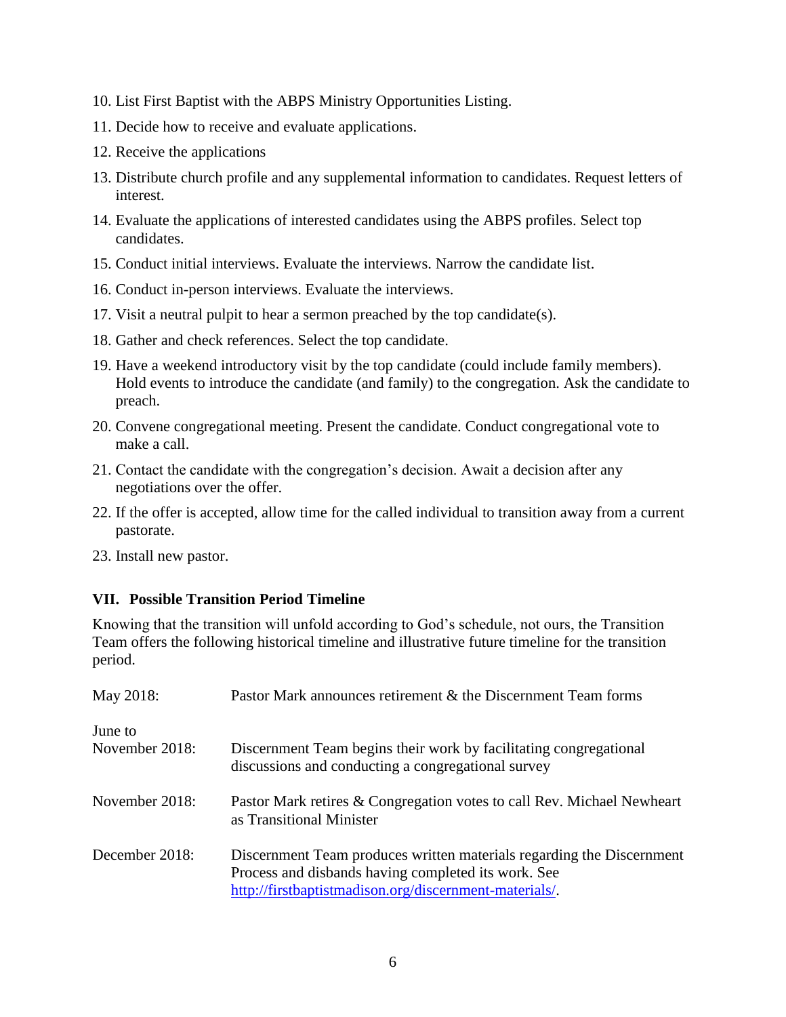- 10. List First Baptist with the ABPS Ministry Opportunities Listing.
- 11. Decide how to receive and evaluate applications.
- 12. Receive the applications
- 13. Distribute church profile and any supplemental information to candidates. Request letters of interest.
- 14. Evaluate the applications of interested candidates using the ABPS profiles. Select top candidates.
- 15. Conduct initial interviews. Evaluate the interviews. Narrow the candidate list.
- 16. Conduct in-person interviews. Evaluate the interviews.
- 17. Visit a neutral pulpit to hear a sermon preached by the top candidate(s).
- 18. Gather and check references. Select the top candidate.
- 19. Have a weekend introductory visit by the top candidate (could include family members). Hold events to introduce the candidate (and family) to the congregation. Ask the candidate to preach.
- 20. Convene congregational meeting. Present the candidate. Conduct congregational vote to make a call.
- 21. Contact the candidate with the congregation's decision. Await a decision after any negotiations over the offer.
- 22. If the offer is accepted, allow time for the called individual to transition away from a current pastorate.
- 23. Install new pastor.

## **VII. Possible Transition Period Timeline**

Knowing that the transition will unfold according to God's schedule, not ours, the Transition Team offers the following historical timeline and illustrative future timeline for the transition period.

| May 2018:      | Pastor Mark announces retirement & the Discernment Team forms                                                                                                                          |
|----------------|----------------------------------------------------------------------------------------------------------------------------------------------------------------------------------------|
| June to        |                                                                                                                                                                                        |
| November 2018: | Discernment Team begins their work by facilitating congregational<br>discussions and conducting a congregational survey                                                                |
| November 2018: | Pastor Mark retires & Congregation votes to call Rev. Michael Newheart<br>as Transitional Minister                                                                                     |
| December 2018: | Discernment Team produces written materials regarding the Discernment<br>Process and disbands having completed its work. See<br>http://firstbaptistmadison.org/discernment-materials/. |